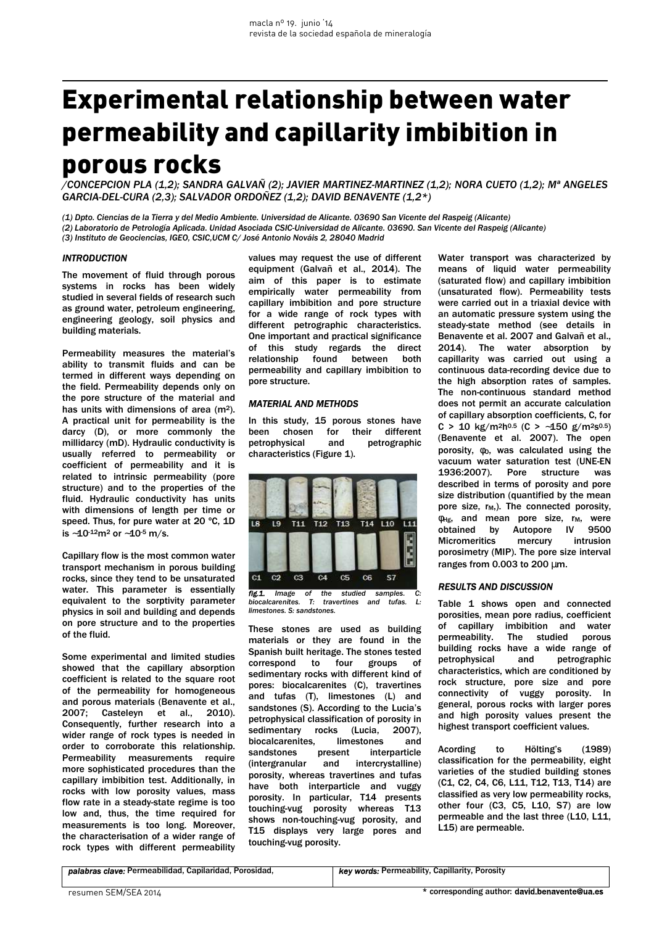# Experimental relationship between water permeability and capillarity imbibition in porous rocks

*/CONCEPCION PLA (1,2); SANDRA GALVAÑ (2); JAVIER MARTINEZ-MARTINEZ (1,2); NORA CUETO (1,2); Mª ANGELES GARCIA-DEL-CURA (2,3); SALVADOR ORDOÑEZ (1,2); DAVID BENAVENTE (1,2\*)* 

*(1) Dpto. Ciencias de la Tierra y del Medio Ambiente. Universidad de Alicante. 03690 San Vicente del Raspeig (Alicante) (2) Laboratorio de Petrología Aplicada. Unidad Asociada CSIC-Universidad de Alicante. 03690. San Vicente del Raspeig (Alicante) (3) Instituto de Geociencias, IGEO, CSIC,UCM C/ José Antonio Nováis 2, 28040 Madrid* 

#### *INTRODUCTION*

The movement of fluid through porous systems in rocks has been widely studied in several fields of research such as ground water, petroleum engineering, engineering geology, soil physics and building materials.

Permeability measures the material's ability to transmit fluids and can be termed in different ways depending on the field. Permeability depends only on the pore structure of the material and has units with dimensions of area (m2). A practical unit for permeability is the darcy (D), or more commonly the millidarcy (mD). Hydraulic conductivity is usually referred to permeability or coefficient of permeability and it is related to intrinsic permeability (pore structure) and to the properties of the fluid. Hydraulic conductivity has units with dimensions of length per time or speed. Thus, for pure water at 20 ºC, 1D is ∼10-12m2 or ∼10-5 m/s.

Capillary flow is the most common water transport mechanism in porous building rocks, since they tend to be unsaturated water. This parameter is essentially equivalent to the sorptivity parameter physics in soil and building and depends on pore structure and to the properties of the fluid.

Some experimental and limited studies showed that the capillary absorption coefficient is related to the square root of the permeability for homogeneous and porous materials (Benavente et al., 2007; Casteleyn et al., 2010). Consequently, further research into a wider range of rock types is needed in order to corroborate this relationship. Permeability measurements require more sophisticated procedures than the capillary imbibition test. Additionally, in rocks with low porosity values, mass flow rate in a steady-state regime is too low and, thus, the time required for measurements is too long. Moreover, the characterisation of a wider range of rock types with different permeability

values may request the use of different equipment (Galvañ et al., 2014). The aim of this paper is to estimate empirically water permeability from capillary imbibition and pore structure for a wide range of rock types with different petrographic characteristics. One important and practical significance of this study regards the direct relationship found between both permeability and capillary imbibition to pore structure.

# *MATERIAL AND METHODS*

In this study, 15 porous stones have been chosen for their different petrophysical and petrographic characteristics (Figure 1).



*fig.1. Image of the studied samples. C: biocalcarenites. T: travertines and tufas. L: limestones. S: sandstones.* 

These stones are used as building materials or they are found in the Spanish built heritage. The stones tested correspond to four groups of sedimentary rocks with different kind of pores: biocalcarenites (C), travertines and tufas (T), limestones (L) and sandstones (S). According to the Lucia's petrophysical classification of porosity in sedimentary rocks (Lucia, 2007), biocalcarenites, limestones and sandstones present interparticle (intergranular and intercrystalline) porosity, whereas travertines and tufas have both interparticle and vuggy porosity. In particular, T14 presents touching-vug porosity whereas T13 shows non-touching-vug porosity, and T15 displays very large pores and touching-vug porosity.

Water transport was characterized by means of liquid water permeability (saturated flow) and capillary imbibition (unsaturated flow). Permeability tests were carried out in a triaxial device with an automatic pressure system using the steady-state method (see details in Benavente et al. 2007 and Galvañ et al., 2014). The water absorption by capillarity was carried out using a continuous data-recording device due to the high absorption rates of samples. The non-continuous standard method does not permit an accurate calculation of capillary absorption coefficients, C, for C > 10 kg/m<sup>2</sup>h<sup>0.5</sup> (C > ~150 g/m<sup>2</sup>s<sup>0.5</sup>) (Benavente et al. 2007). The open porosity,  $φo$ , was calculated using the vacuum water saturation test (UNE-EN 1936:2007). Pore structure was described in terms of porosity and pore size distribution (quantified by the mean pore size,  $r_M$ ,). The connected porosity,  $φ<sub>Hg</sub>$ , and mean pore size, r<sub>M</sub>, were obtained by Autopore IV 9500 Micromeritics mercury intrusion porosimetry (MIP). The pore size interval ranges from  $0.003$  to  $200 \mu m$ .

#### *RESULTS AND DISCUSSION*

Table 1 shows open and connected porosities, mean pore radius, coefficient of capillary imbibition and water permeability. The studied porous building rocks have a wide range of petrophysical and petrographic characteristics, which are conditioned by rock structure, pore size and pore connectivity of vuggy porosity. In general, porous rocks with larger pores and high porosity values present the highest transport coefficient values.

Acording to Hölting's (1989) classification for the permeability, eight varieties of the studied building stones (C1, C2, C4, C6, L11, T12, T13, T14) are classified as very low permeability rocks, other four (C3, C5, L10, S7) are low permeable and the last three (L10, L11, L15) are permeable.